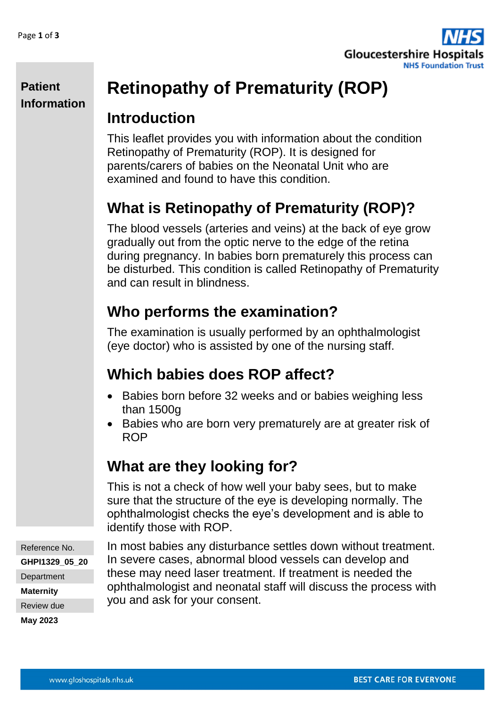

#### **Patient Information**

# **Retinopathy of Prematurity (ROP)**

## **Introduction**

This leaflet provides you with information about the condition Retinopathy of Prematurity (ROP). It is designed for parents/carers of babies on the Neonatal Unit who are examined and found to have this condition.

# **What is Retinopathy of Prematurity (ROP)?**

The blood vessels (arteries and veins) at the back of eye grow gradually out from the optic nerve to the edge of the retina during pregnancy. In babies born prematurely this process can be disturbed. This condition is called Retinopathy of Prematurity and can result in blindness.

## **Who performs the examination?**

The examination is usually performed by an ophthalmologist (eye doctor) who is assisted by one of the nursing staff.

## **Which babies does ROP affect?**

- Babies born before 32 weeks and or babies weighing less than 1500g
- Babies who are born very prematurely are at greater risk of ROP

## **What are they looking for?**

This is not a check of how well your baby sees, but to make sure that the structure of the eye is developing normally. The ophthalmologist checks the eye's development and is able to identify those with ROP.

Reference No. **GHPI1329\_05\_20 Department Maternity** Review due **May 2023**

In most babies any disturbance settles down without treatment. In severe cases, abnormal blood vessels can develop and these may need laser treatment. If treatment is needed the ophthalmologist and neonatal staff will discuss the process with you and ask for your consent.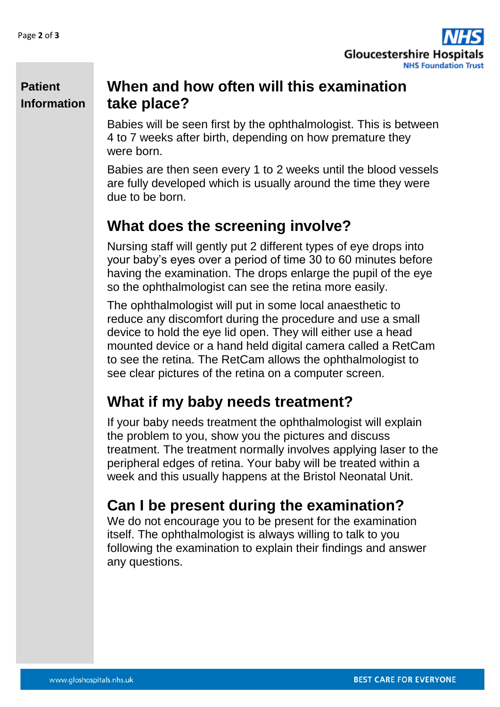

#### **Patient Information**

#### **When and how often will this examination take place?**

Babies will be seen first by the ophthalmologist. This is between 4 to 7 weeks after birth, depending on how premature they were born.

Babies are then seen every 1 to 2 weeks until the blood vessels are fully developed which is usually around the time they were due to be born.

## **What does the screening involve?**

Nursing staff will gently put 2 different types of eye drops into your baby's eyes over a period of time 30 to 60 minutes before having the examination. The drops enlarge the pupil of the eye so the ophthalmologist can see the retina more easily.

The ophthalmologist will put in some local anaesthetic to reduce any discomfort during the procedure and use a small device to hold the eye lid open. They will either use a head mounted device or a hand held digital camera called a RetCam to see the retina. The RetCam allows the ophthalmologist to see clear pictures of the retina on a computer screen.

## **What if my baby needs treatment?**

If your baby needs treatment the ophthalmologist will explain the problem to you, show you the pictures and discuss treatment. The treatment normally involves applying laser to the peripheral edges of retina. Your baby will be treated within a week and this usually happens at the Bristol Neonatal Unit.

## **Can I be present during the examination?**

We do not encourage you to be present for the examination itself. The ophthalmologist is always willing to talk to you following the examination to explain their findings and answer any questions.